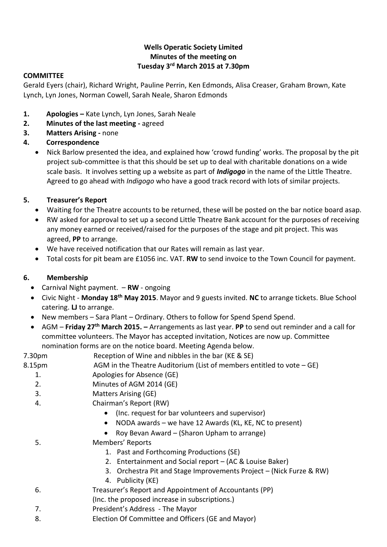#### **Wells Operatic Society Limited Minutes of the meeting on Tuesday 3rd March 2015 at 7.30pm**

#### **COMMITTEE**

Gerald Eyers (chair), Richard Wright, Pauline Perrin, Ken Edmonds, Alisa Creaser, Graham Brown, Kate Lynch, Lyn Jones, Norman Cowell, Sarah Neale, Sharon Edmonds

- **1. Apologies –** Kate Lynch, Lyn Jones, Sarah Neale
- **2. Minutes of the last meeting -** agreed
- **3. Matters Arising -** none
- **4. Correspondence**
	- Nick Barlow presented the idea, and explained how 'crowd funding' works. The proposal by the pit project sub-committee is that this should be set up to deal with charitable donations on a wide scale basis. It involves setting up a website as part of *Indigogo* in the name of the Little Theatre. Agreed to go ahead with *Indigogo* who have a good track record with lots of similar projects.

#### **5. Treasurer's Report**

- Waiting for the Theatre accounts to be returned, these will be posted on the bar notice board asap.
- RW asked for approval to set up a second Little Theatre Bank account for the purposes of receiving any money earned or received/raised for the purposes of the stage and pit project. This was agreed, **PP** to arrange.
- We have received notification that our Rates will remain as last year.
- Total costs for pit beam are £1056 inc. VAT. **RW** to send invoice to the Town Council for payment.

#### **6. Membership**

- Carnival Night payment. **RW** ongoing
- Civic Night **Monday 18th May 2015**. Mayor and 9 guests invited. **NC** to arrange tickets. Blue School catering. **LJ** to arrange.
- New members Sara Plant Ordinary. Others to follow for Spend Spend Spend.
- AGM **Friday 27th March 2015. –** Arrangements as last year. **PP** to send out reminder and a call for committee volunteers. The Mayor has accepted invitation, Notices are now up. Committee nomination forms are on the notice board. Meeting Agenda below.

# 7.30pm Reception of Wine and nibbles in the bar (KE & SE)

- 8.15pm AGM in the Theatre Auditorium (List of members entitled to vote GE)
	- 1. Apologies for Absence (GE)
	- 2. Minutes of AGM 2014 (GE)
	- 3. Matters Arising (GE)
	- 4. Chairman's Report (RW)
		- (Inc. request for bar volunteers and supervisor)
		- NODA awards we have 12 Awards (KL, KE, NC to present)
		- Roy Bevan Award (Sharon Upham to arrange)
	- 5. Members' Reports
		- 1. Past and Forthcoming Productions (SE)
		- 2. Entertainment and Social report (AC & Louise Baker)
		- 3. Orchestra Pit and Stage Improvements Project (Nick Furze & RW)
		- 4. Publicity (KE)
	- 6. Treasurer's Report and Appointment of Accountants (PP)
	- (Inc. the proposed increase in subscriptions.)
	- 7. President's Address The Mayor
	- 8. Election Of Committee and Officers (GE and Mayor)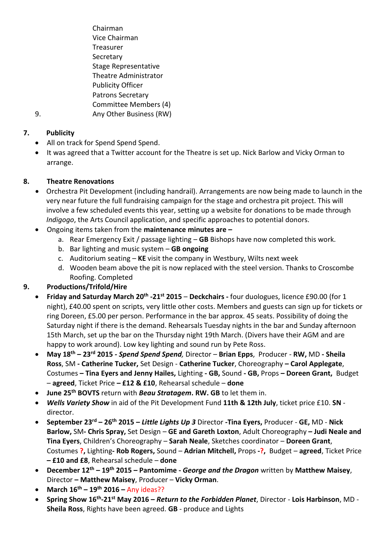Chairman Vice Chairman **Treasurer** Secretary Stage Representative Theatre Administrator Publicity Officer Patrons Secretary Committee Members (4) 9. Any Other Business (RW)

# **7. Publicity**

- All on track for Spend Spend Spend.
- It was agreed that a Twitter account for the Theatre is set up. Nick Barlow and Vicky Orman to arrange.

# **8. Theatre Renovations**

- Orchestra Pit Development (including handrail). Arrangements are now being made to launch in the very near future the full fundraising campaign for the stage and orchestra pit project. This will involve a few scheduled events this year, setting up a website for donations to be made through *Indigogo*, the Arts Council application, and specific approaches to potential donors.
- Ongoing items taken from the **maintenance minutes are –**
	- a. Rear Emergency Exit / passage lighting **GB** Bishops have now completed this work.
	- b. Bar lighting and music system **GB ongoing**
	- c. Auditorium seating **KE** visit the company in Westbury, Wilts next week
	- d. Wooden beam above the pit is now replaced with the steel version. Thanks to Croscombe Roofing. Completed

# **9. Productions/Trifold/Hire**

- **Friday and Saturday March 20th -21st 2015 Deckchairs -** four duologues, licence £90.00 (for 1 night), £40.00 spent on scripts, very little other costs. Members and guests can sign up for tickets or ring Doreen, £5.00 per person. Performance in the bar approx. 45 seats. Possibility of doing the Saturday night if there is the demand. Rehearsals Tuesday nights in the bar and Sunday afternoon 15th March, set up the bar on the Thursday night 19th March. (Divers have their AGM and are happy to work around). Low key lighting and sound run by Pete Ross.
- **May 18th – 23rd 2015** *- Spend Spend Spend,* Director **Brian Epps**, Producer **RW,** MD **- Sheila Ross**, SM **- Catherine Tucker,** Set Design - **Catherine Tucker**, Choreography **– Carol Applegate**, Costumes **– Tina Eyers and Jenny Hailes,** Lighting **- GB,** Sound **- GB,** Props **– Doreen Grant,** Budget – **agreed**, Ticket Price **– £12 & £10**, Rehearsal schedule – **done**
- **June 25th BOVTS** return with *Beau Stratagem***. RW. GB** to let them in.
- *Wells Variety Show* in aid of the Pit Development Fund **11th & 12th July**, ticket price £10. **SN** director.
- **September 23rd – 26th 2015 –** *Little Lights Up 3* Director **-Tina Eyers,** Producer **GE,** MD **Nick Barlow,** SM**- Chris Spray,** Set Design – **GE and Gareth Loxton**, Adult Choreography **– Judi Neale and Tina Eyers**, Children's Choreography – **Sarah Neale**, Sketches coordinator – **Doreen Grant**, Costumes **?,** Lighting**- Rob Rogers,** Sound – **Adrian Mitchell,** Props **-?,** Budget – **agreed**, Ticket Price **– £10 and £8**, Rehearsal schedule – **done**
- **December 12th – 19th 2015 – Pantomime -** *George and the Dragon* written by **Matthew Maisey**, Director **– Matthew Maisey**, Producer – **Vicky Orman**.
- **March 16th – 19th 2016 –** Any ideas??
- **Spring Show 16th -21st May 2016 –** *Return to the Forbidden Planet*, Director **Lois Harbinson**, MD **Sheila Ross**, Rights have been agreed. **GB** - produce and Lights